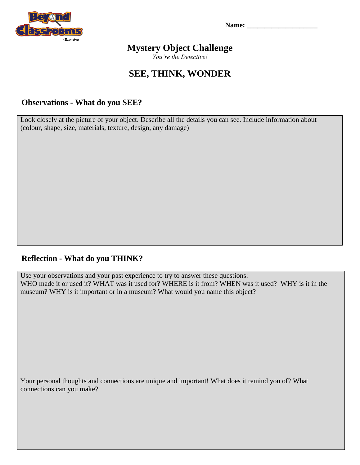

**Name: \_\_\_\_\_\_\_\_\_\_\_\_\_\_\_\_\_\_\_\_**

## **Mystery Object Challenge**

*You're the Detective!*

# **SEE, THINK, WONDER**

#### **Observations - What do you SEE?**

Look closely at the picture of your object. Describe all the details you can see. Include information about (colour, shape, size, materials, texture, design, any damage)

### **Reflection - What do you THINK?**

Use your observations and your past experience to try to answer these questions: WHO made it or used it? WHAT was it used for? WHERE is it from? WHEN was it used? WHY is it in the museum? WHY is it important or in a museum? What would you name this object?

Your personal thoughts and connections are unique and important! What does it remind you of? What connections can you make?